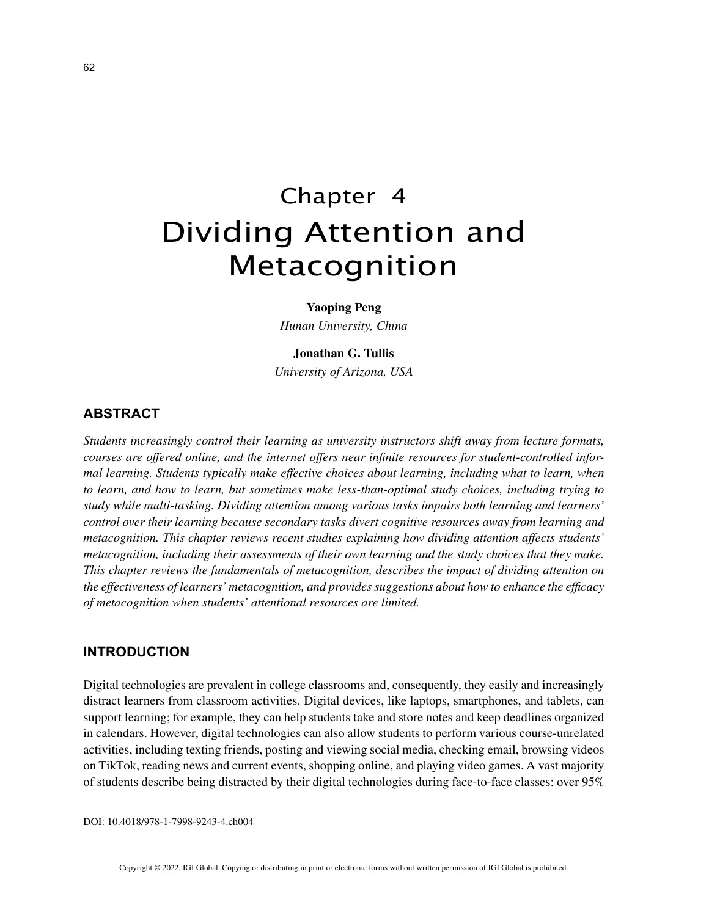# Chapter 4 Dividing Attention and Metacognition

#### **Yaoping Peng**

*Hunan University, China*

## **Jonathan G. Tullis**

*University of Arizona, USA*

# **ABSTRACT**

*Students increasingly control their learning as university instructors shift away from lecture formats, courses are offered online, and the internet offers near infinite resources for student-controlled informal learning. Students typically make effective choices about learning, including what to learn, when to learn, and how to learn, but sometimes make less-than-optimal study choices, including trying to study while multi-tasking. Dividing attention among various tasks impairs both learning and learners' control over their learning because secondary tasks divert cognitive resources away from learning and metacognition. This chapter reviews recent studies explaining how dividing attention affects students' metacognition, including their assessments of their own learning and the study choices that they make. This chapter reviews the fundamentals of metacognition, describes the impact of dividing attention on the effectiveness of learners' metacognition, and provides suggestions about how to enhance the efficacy of metacognition when students' attentional resources are limited.*

## **INTRODUCTION**

Digital technologies are prevalent in college classrooms and, consequently, they easily and increasingly distract learners from classroom activities. Digital devices, like laptops, smartphones, and tablets, can support learning; for example, they can help students take and store notes and keep deadlines organized in calendars. However, digital technologies can also allow students to perform various course-unrelated activities, including texting friends, posting and viewing social media, checking email, browsing videos on TikTok, reading news and current events, shopping online, and playing video games. A vast majority of students describe being distracted by their digital technologies during face-to-face classes: over 95%

DOI: 10.4018/978-1-7998-9243-4.ch004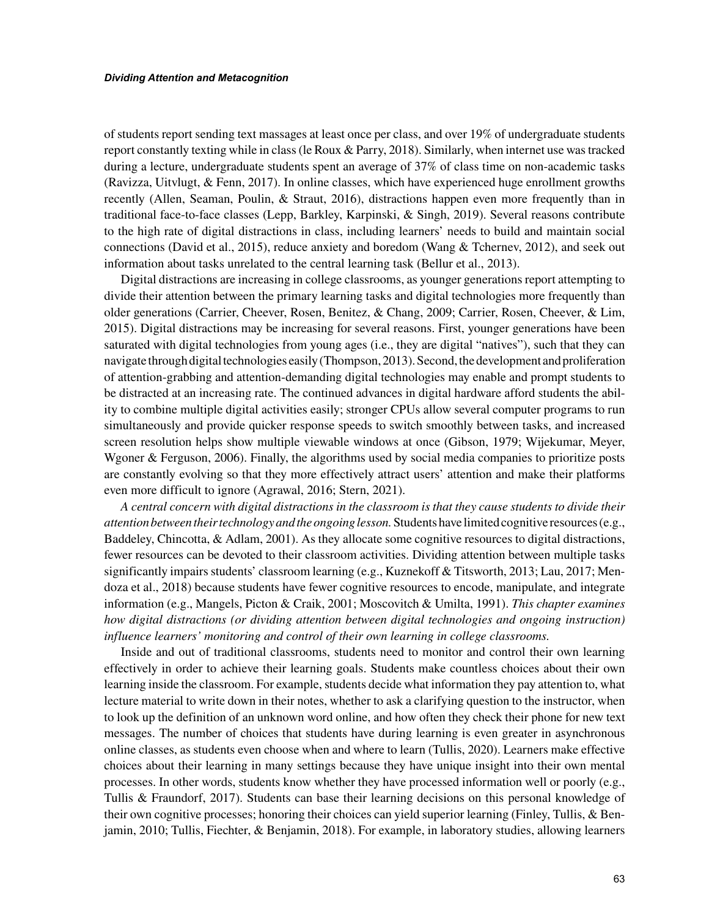of students report sending text massages at least once per class, and over 19% of undergraduate students report constantly texting while in class (le Roux & Parry, 2018). Similarly, when internet use was tracked during a lecture, undergraduate students spent an average of 37% of class time on non-academic tasks (Ravizza, Uitvlugt, & Fenn, 2017). In online classes, which have experienced huge enrollment growths recently (Allen, Seaman, Poulin, & Straut, 2016), distractions happen even more frequently than in traditional face-to-face classes (Lepp, Barkley, Karpinski, & Singh, 2019). Several reasons contribute to the high rate of digital distractions in class, including learners' needs to build and maintain social connections (David et al., 2015), reduce anxiety and boredom (Wang & Tchernev, 2012), and seek out information about tasks unrelated to the central learning task (Bellur et al., 2013).

Digital distractions are increasing in college classrooms, as younger generations report attempting to divide their attention between the primary learning tasks and digital technologies more frequently than older generations (Carrier, Cheever, Rosen, Benitez, & Chang, 2009; Carrier, Rosen, Cheever, & Lim, 2015). Digital distractions may be increasing for several reasons. First, younger generations have been saturated with digital technologies from young ages (i.e., they are digital "natives"), such that they can navigate through digital technologies easily (Thompson, 2013). Second, the development and proliferation of attention-grabbing and attention-demanding digital technologies may enable and prompt students to be distracted at an increasing rate. The continued advances in digital hardware afford students the ability to combine multiple digital activities easily; stronger CPUs allow several computer programs to run simultaneously and provide quicker response speeds to switch smoothly between tasks, and increased screen resolution helps show multiple viewable windows at once (Gibson, 1979; Wijekumar, Meyer, Wgoner & Ferguson, 2006). Finally, the algorithms used by social media companies to prioritize posts are constantly evolving so that they more effectively attract users' attention and make their platforms even more difficult to ignore (Agrawal, 2016; Stern, 2021).

*A central concern with digital distractions in the classroom is that they cause students to divide their attention between their technology and the ongoing lesson.* Students have limited cognitive resources (e.g., Baddeley, Chincotta, & Adlam, 2001). As they allocate some cognitive resources to digital distractions, fewer resources can be devoted to their classroom activities. Dividing attention between multiple tasks significantly impairs students' classroom learning (e.g., Kuznekoff & Titsworth, 2013; Lau, 2017; Mendoza et al., 2018) because students have fewer cognitive resources to encode, manipulate, and integrate information (e.g., Mangels, Picton & Craik, 2001; Moscovitch & Umilta, 1991). *This chapter examines how digital distractions (or dividing attention between digital technologies and ongoing instruction) influence learners' monitoring and control of their own learning in college classrooms.*

Inside and out of traditional classrooms, students need to monitor and control their own learning effectively in order to achieve their learning goals. Students make countless choices about their own learning inside the classroom. For example, students decide what information they pay attention to, what lecture material to write down in their notes, whether to ask a clarifying question to the instructor, when to look up the definition of an unknown word online, and how often they check their phone for new text messages. The number of choices that students have during learning is even greater in asynchronous online classes, as students even choose when and where to learn (Tullis, 2020). Learners make effective choices about their learning in many settings because they have unique insight into their own mental processes. In other words, students know whether they have processed information well or poorly (e.g., Tullis & Fraundorf, 2017). Students can base their learning decisions on this personal knowledge of their own cognitive processes; honoring their choices can yield superior learning (Finley, Tullis, & Benjamin, 2010; Tullis, Fiechter, & Benjamin, 2018). For example, in laboratory studies, allowing learners